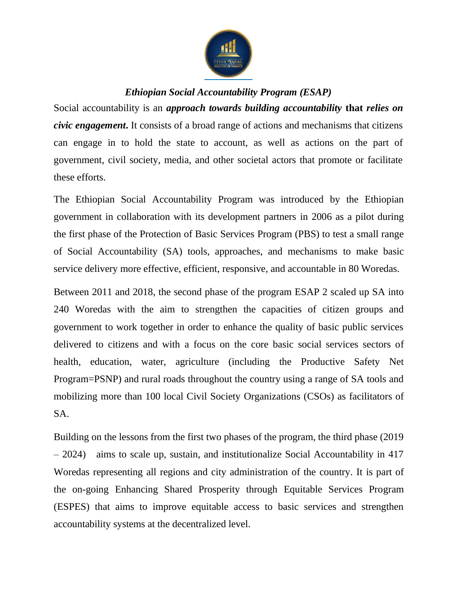

## *Ethiopian Social Accountability Program (ESAP)*

Social accountability is an *approach towards building accountability* **that** *relies on civic engagement***.** It consists of a broad range of actions and mechanisms that citizens can engage in to hold the state to account, as well as actions on the part of government, civil society, media, and other societal actors that promote or facilitate these efforts.

The Ethiopian Social Accountability Program was introduced by the Ethiopian government in collaboration with its development partners in 2006 as a pilot during the first phase of the Protection of Basic Services Program (PBS) to test a small range of Social Accountability (SA) tools, approaches, and mechanisms to make basic service delivery more effective, efficient, responsive, and accountable in 80 Woredas.

Between 2011 and 2018, the second phase of the program ESAP 2 scaled up SA into 240 Woredas with the aim to strengthen the capacities of citizen groups and government to work together in order to enhance the quality of basic public services delivered to citizens and with a focus on the core basic social services sectors of health, education, water, agriculture (including the Productive Safety Net Program=PSNP) and rural roads throughout the country using a range of SA tools and mobilizing more than 100 local Civil Society Organizations (CSOs) as facilitators of SA.

Building on the lessons from the first two phases of the program, the third phase (2019 – 2024) aims to scale up, sustain, and institutionalize Social Accountability in 417 Woredas representing all regions and city administration of the country. It is part of the on-going Enhancing Shared Prosperity through Equitable Services Program (ESPES) that aims to improve equitable access to basic services and strengthen accountability systems at the decentralized level.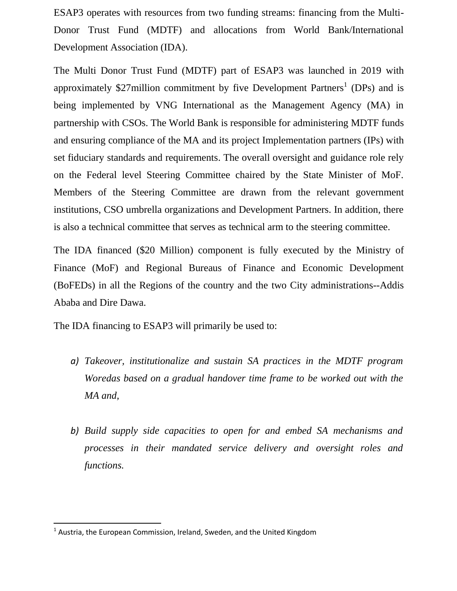ESAP3 operates with resources from two funding streams: financing from the Multi-Donor Trust Fund (MDTF) and allocations from World Bank/International Development Association (IDA).

The Multi Donor Trust Fund (MDTF) part of ESAP3 was launched in 2019 with approximately \$27 million commitment by five Development Partners<sup>1</sup> (DPs) and is being implemented by VNG International as the Management Agency (MA) in partnership with CSOs. The World Bank is responsible for administering MDTF funds and ensuring compliance of the MA and its project Implementation partners (IPs) with set fiduciary standards and requirements. The overall oversight and guidance role rely on the Federal level Steering Committee chaired by the State Minister of MoF. Members of the Steering Committee are drawn from the relevant government institutions, CSO umbrella organizations and Development Partners. In addition, there is also a technical committee that serves as technical arm to the steering committee.

The IDA financed (\$20 Million) component is fully executed by the Ministry of Finance (MoF) and Regional Bureaus of Finance and Economic Development (BoFEDs) in all the Regions of the country and the two City administrations--Addis Ababa and Dire Dawa.

The IDA financing to ESAP3 will primarily be used to:

- *a) Takeover, institutionalize and sustain SA practices in the MDTF program Woredas based on a gradual handover time frame to be worked out with the MA and,*
- *b) Build supply side capacities to open for and embed SA mechanisms and processes in their mandated service delivery and oversight roles and functions.*

 $\overline{\phantom{a}}$ 

<sup>&</sup>lt;sup>1</sup> Austria, the European Commission, Ireland, Sweden, and the United Kingdom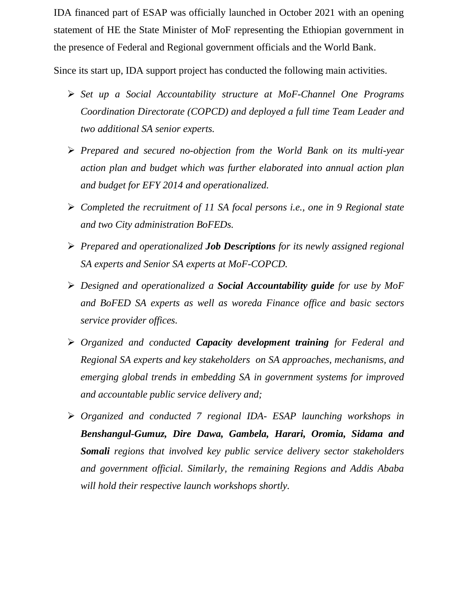IDA financed part of ESAP was officially launched in October 2021 with an opening statement of HE the State Minister of MoF representing the Ethiopian government in the presence of Federal and Regional government officials and the World Bank.

Since its start up, IDA support project has conducted the following main activities.

- *Set up a Social Accountability structure at MoF-Channel One Programs Coordination Directorate (COPCD) and deployed a full time Team Leader and two additional SA senior experts.*
- *Prepared and secured no-objection from the World Bank on its multi-year action plan and budget which was further elaborated into annual action plan and budget for EFY 2014 and operationalized.*
- *Completed the recruitment of 11 SA focal persons i.e., one in 9 Regional state and two City administration BoFEDs.*
- *Prepared and operationalized Job Descriptions for its newly assigned regional SA experts and Senior SA experts at MoF-COPCD.*
- *Designed and operationalized a Social Accountability guide for use by MoF and BoFED SA experts as well as woreda Finance office and basic sectors service provider offices.*
- *Organized and conducted Capacity development training for Federal and Regional SA experts and key stakeholders on SA approaches, mechanisms, and emerging global trends in embedding SA in government systems for improved and accountable public service delivery and;*
- *Organized and conducted 7 regional IDA- ESAP launching workshops in Benshangul-Gumuz, Dire Dawa, Gambela, Harari, Oromia, Sidama and Somali regions that involved key public service delivery sector stakeholders and government official. Similarly, the remaining Regions and Addis Ababa will hold their respective launch workshops shortly.*